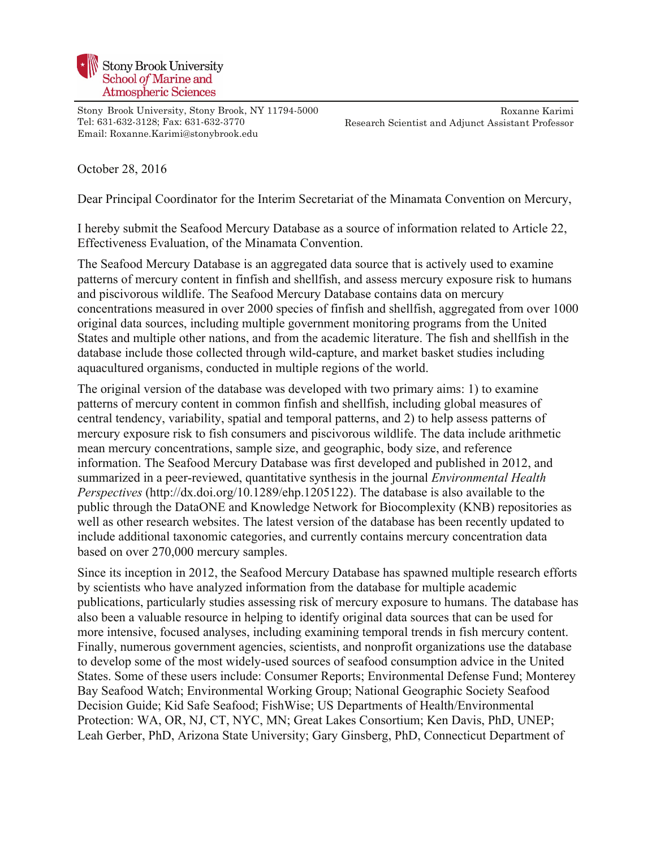

Stony Brook University, Stony Brook, NY 11794-5000 Tel: 631-632-3128; Fax: 631-632-3770 Email: Roxanne.Karimi@stonybrook.edu

Roxanne Karimi Research Scientist and Adjunct Assistant Professor

October 28, 2016

Dear Principal Coordinator for the Interim Secretariat of the Minamata Convention on Mercury,

I hereby submit the Seafood Mercury Database as a source of information related to Article 22, Effectiveness Evaluation, of the Minamata Convention.

The Seafood Mercury Database is an aggregated data source that is actively used to examine patterns of mercury content in finfish and shellfish, and assess mercury exposure risk to humans and piscivorous wildlife. The Seafood Mercury Database contains data on mercury concentrations measured in over 2000 species of finfish and shellfish, aggregated from over 1000 original data sources, including multiple government monitoring programs from the United States and multiple other nations, and from the academic literature. The fish and shellfish in the database include those collected through wild-capture, and market basket studies including aquacultured organisms, conducted in multiple regions of the world.

The original version of the database was developed with two primary aims: 1) to examine patterns of mercury content in common finfish and shellfish, including global measures of central tendency, variability, spatial and temporal patterns, and 2) to help assess patterns of mercury exposure risk to fish consumers and piscivorous wildlife. The data include arithmetic mean mercury concentrations, sample size, and geographic, body size, and reference information. The Seafood Mercury Database was first developed and published in 2012, and summarized in a peer-reviewed, quantitative synthesis in the journal *Environmental Health Perspectives* (http://dx.doi.org/10.1289/ehp.1205122). The database is also available to the public through the DataONE and Knowledge Network for Biocomplexity (KNB) repositories as well as other research websites. The latest version of the database has been recently updated to include additional taxonomic categories, and currently contains mercury concentration data based on over 270,000 mercury samples.

Since its inception in 2012, the Seafood Mercury Database has spawned multiple research efforts by scientists who have analyzed information from the database for multiple academic publications, particularly studies assessing risk of mercury exposure to humans. The database has also been a valuable resource in helping to identify original data sources that can be used for more intensive, focused analyses, including examining temporal trends in fish mercury content. Finally, numerous government agencies, scientists, and nonprofit organizations use the database to develop some of the most widely-used sources of seafood consumption advice in the United States. Some of these users include: Consumer Reports; Environmental Defense Fund; Monterey Bay Seafood Watch; Environmental Working Group; National Geographic Society Seafood Decision Guide; Kid Safe Seafood; FishWise; US Departments of Health/Environmental Protection: WA, OR, NJ, CT, NYC, MN; Great Lakes Consortium; Ken Davis, PhD, UNEP; Leah Gerber, PhD, Arizona State University; Gary Ginsberg, PhD, Connecticut Department of